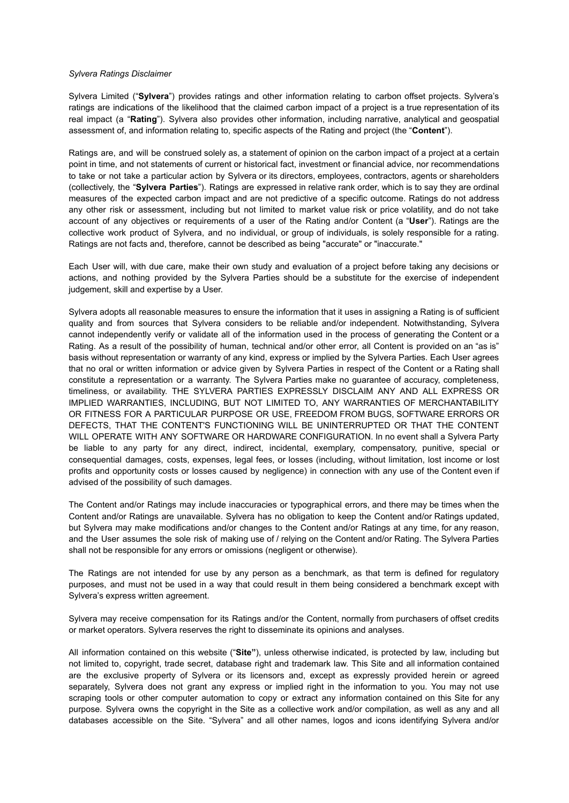## *Sylvera Ratings Disclaimer*

Sylvera Limited ("**Sylvera**") provides ratings and other information relating to carbon offset projects. Sylvera's ratings are indications of the likelihood that the claimed carbon impact of a project is a true representation of its real impact (a "**Rating**"). Sylvera also provides other information, including narrative, analytical and geospatial assessment of, and information relating to, specific aspects of the Rating and project (the "**Content**").

Ratings are, and will be construed solely as, a statement of opinion on the carbon impact of a project at a certain point in time, and not statements of current or historical fact, investment or financial advice, nor recommendations to take or not take a particular action by Sylvera or its directors, employees, contractors, agents or shareholders (collectively, the "**Sylvera Parties**"). Ratings are expressed in relative rank order, which is to say they are ordinal measures of the expected carbon impact and are not predictive of a specific outcome. Ratings do not address any other risk or assessment, including but not limited to market value risk or price volatility, and do not take account of any objectives or requirements of a user of the Rating and/or Content (a "**User**"). Ratings are the collective work product of Sylvera, and no individual, or group of individuals, is solely responsible for a rating. Ratings are not facts and, therefore, cannot be described as being "accurate" or "inaccurate."

Each User will, with due care, make their own study and evaluation of a project before taking any decisions or actions, and nothing provided by the Sylvera Parties should be a substitute for the exercise of independent judgement, skill and expertise by a User.

Sylvera adopts all reasonable measures to ensure the information that it uses in assigning a Rating is of sufficient quality and from sources that Sylvera considers to be reliable and/or independent. Notwithstanding, Sylvera cannot independently verify or validate all of the information used in the process of generating the Content or a Rating. As a result of the possibility of human, technical and/or other error, all Content is provided on an "as is" basis without representation or warranty of any kind, express or implied by the Sylvera Parties. Each User agrees that no oral or written information or advice given by Sylvera Parties in respect of the Content or a Rating shall constitute a representation or a warranty. The Sylvera Parties make no guarantee of accuracy, completeness, timeliness, or availability. THE SYLVERA PARTIES EXPRESSLY DISCLAIM ANY AND ALL EXPRESS OR IMPLIED WARRANTIES, INCLUDING, BUT NOT LIMITED TO, ANY WARRANTIES OF MERCHANTABILITY OR FITNESS FOR A PARTICULAR PURPOSE OR USE, FREEDOM FROM BUGS, SOFTWARE ERRORS OR DEFECTS, THAT THE CONTENT'S FUNCTIONING WILL BE UNINTERRUPTED OR THAT THE CONTENT WILL OPERATE WITH ANY SOFTWARE OR HARDWARE CONFIGURATION. In no event shall a Sylvera Party be liable to any party for any direct, indirect, incidental, exemplary, compensatory, punitive, special or consequential damages, costs, expenses, legal fees, or losses (including, without limitation, lost income or lost profits and opportunity costs or losses caused by negligence) in connection with any use of the Content even if advised of the possibility of such damages.

The Content and/or Ratings may include inaccuracies or typographical errors, and there may be times when the Content and/or Ratings are unavailable. Sylvera has no obligation to keep the Content and/or Ratings updated, but Sylvera may make modifications and/or changes to the Content and/or Ratings at any time, for any reason, and the User assumes the sole risk of making use of / relying on the Content and/or Rating. The Sylvera Parties shall not be responsible for any errors or omissions (negligent or otherwise).

The Ratings are not intended for use by any person as a benchmark, as that term is defined for regulatory purposes, and must not be used in a way that could result in them being considered a benchmark except with Sylvera's express written agreement.

Sylvera may receive compensation for its Ratings and/or the Content, normally from purchasers of offset credits or market operators. Sylvera reserves the right to disseminate its opinions and analyses.

All information contained on this website ("**Site"**), unless otherwise indicated, is protected by law, including but not limited to, copyright, trade secret, database right and trademark law. This Site and all information contained are the exclusive property of Sylvera or its licensors and, except as expressly provided herein or agreed separately, Sylvera does not grant any express or implied right in the information to you. You may not use scraping tools or other computer automation to copy or extract any information contained on this Site for any purpose. Sylvera owns the copyright in the Site as a collective work and/or compilation, as well as any and all databases accessible on the Site. "Sylvera" and all other names, logos and icons identifying Sylvera and/or